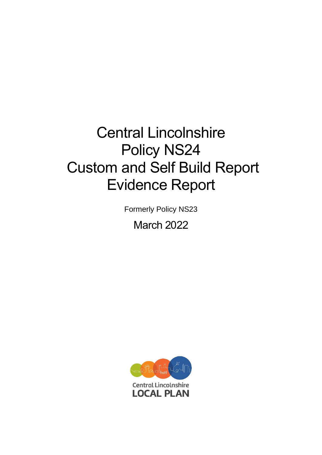# Central Lincolnshire Policy NS24 Custom and Self Build Report Evidence Report

Formerly Policy NS23

March 2022

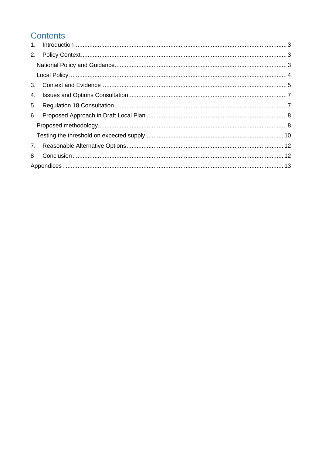### Contents

| 4. |  |
|----|--|
| 5. |  |
| 6. |  |
|    |  |
|    |  |
|    |  |
| 8  |  |
|    |  |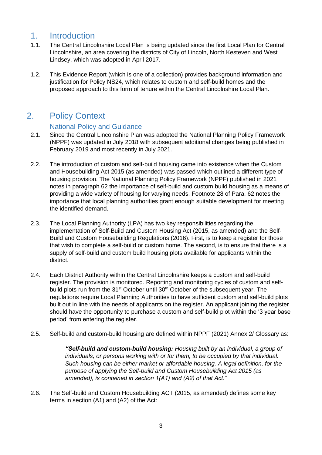### <span id="page-2-0"></span>1. Introduction

- 1.1. The Central Lincolnshire Local Plan is being updated since the first Local Plan for Central Lincolnshire, an area covering the districts of City of Lincoln, North Kesteven and West Lindsey, which was adopted in April 2017.
- 1.2. This Evidence Report (which is one of a collection) provides background information and justification for Policy NS24, which relates to custom and self-build homes and the proposed approach to this form of tenure within the Central Lincolnshire Local Plan.

### <span id="page-2-1"></span>2. Policy Context

#### National Policy and Guidance

- <span id="page-2-2"></span>2.1. Since the Central Lincolnshire Plan was adopted the National Planning Policy Framework (NPPF) was updated in July 2018 with subsequent additional changes being published in February 2019 and most recently in July 2021.
- 2.2. The introduction of custom and self-build housing came into existence when the Custom and Housebuilding Act 2015 (as amended) was passed which outlined a different type of housing provision. The National Planning Policy Framework (NPPF) published in 2021 notes in paragraph 62 the importance of self-build and custom build housing as a means of providing a wide variety of housing for varying needs. Footnote 28 of Para. 62 notes the importance that local planning authorities grant enough suitable development for meeting the identified demand.
- 2.3. The Local Planning Authority (LPA) has two key responsibilities regarding the implementation of Self-Build and Custom Housing Act (2015, as amended) and the Self-Build and Custom Housebuilding Regulations (2016). First, is to keep a register for those that wish to complete a self-build or custom home. The second, is to ensure that there is a supply of self-build and custom build housing plots available for applicants within the district.
- 2.4. Each District Authority within the Central Lincolnshire keeps a custom and self-build register. The provision is monitored. Reporting and monitoring cycles of custom and selfbuild plots run from the 31<sup>st</sup> October until 30<sup>th</sup> October of the subsequent year. The regulations require Local Planning Authorities to have sufficient custom and self-build plots built out in line with the needs of applicants on the register. An applicant joining the register should have the opportunity to purchase a custom and self-build plot within the '3 year base period' from entering the register.
- 2.5. Self-build and custom-build housing are defined within NPPF (2021) Annex 2/ Glossary as:

*"Self-build and custom-build housing: Housing built by an individual, a group of individuals, or persons working with or for them, to be occupied by that individual. Such housing can be either market or affordable housing. A legal definition, for the purpose of applying the Self-build and Custom Housebuilding Act 2015 (as amended), is contained in section 1(A1) and (A2) of that Act."*

2.6. The Self-build and Custom Housebuilding ACT (2015, as amended) defines some key terms in section (A1) and (A2) of the Act: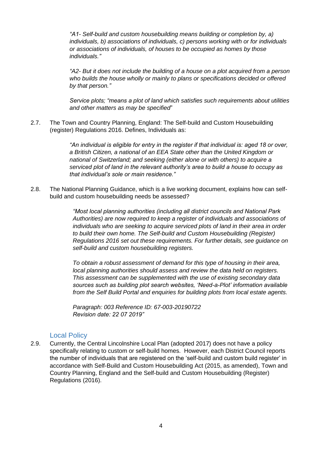*"A1- Self-build and custom housebuilding means building or completion by, a) individuals, b) associations of individuals, c) persons working with or for individuals or associations of individuals, of houses to be occupied as homes by those individuals."*

*"A2- But it does not include the building of a house on a plot acquired from a person who builds the house wholly or mainly to plans or specifications decided or offered by that person."*

*Service plots; "means a plot of land which satisfies such requirements about utilities and other matters as may be specified*"

2.7. The Town and Country Planning, England: The Self-build and Custom Housebuilding (register) Regulations 2016. Defines, Individuals as:

> *"An individual is eligible for entry in the register if that individual is: aged 18 or over, a British Citizen, a national of an EEA State other than the United Kingdom or national of Switzerland; and seeking (either alone or with others) to acquire a serviced plot of land in the relevant authority's area to build a house to occupy as that individual's sole or main residence."*

2.8. The National Planning Guidance, which is a live working document, explains how can selfbuild and custom housebuilding needs be assessed?

> *"Most local planning authorities (including all district councils and National Park Authorities) are now required to keep a register of individuals and associations of individuals who are seeking to acquire serviced plots of land in their area in order to build their own home. The Self-build and Custom Housebuilding (Register) Regulations 2016 set out these requirements. For further details, see guidance on self-build and custom housebuilding registers.*

> *To obtain a robust assessment of demand for this type of housing in their area, local planning authorities should assess and review the data held on registers. This assessment can be supplemented with the use of existing secondary data sources such as building plot search websites, 'Need-a-Plot' information available from the Self Build Portal and enquiries for building plots from local estate agents.*

*Paragraph: 003 Reference ID: 67-003-20190722 Revision date: 22 07 2019"*

#### Local Policy

<span id="page-3-0"></span>2.9. Currently, the Central Lincolnshire Local Plan (adopted 2017) does not have a policy specifically relating to custom or self-build homes. However, each District Council reports the number of individuals that are registered on the 'self-build and custom build register' in accordance with Self-Build and Custom Housebuilding Act (2015, as amended), Town and Country Planning, England and the Self-build and Custom Housebuilding (Register) Regulations (2016).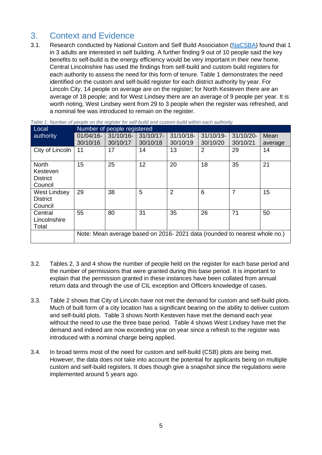### <span id="page-4-0"></span>3. Context and Evidence

3.1. Research conducted by National Custom and Self Build Association [\(NaCSBA\)](https://nacsba.org.uk/news/1-in-3-adults-interested-in-self-building/) found that 1 in 3 adults are interested in self building. A further finding 9 out of 10 people said the key benefits to self-build is the energy efficiency would be very important in their new home. Central Lincolnshire has used the findings from self-build and custom build registers for each authority to assess the need for this form of tenure. Table 1 demonstrates the need identified on the custom and self-build register for each district authority by year. For Lincoln City, 14 people on average are on the register; for North Kesteven there are an average of 18 people; and for West Lindsey there are an average of 9 people per year. It is worth noting, West Lindsey went from 29 to 3 people when the register was refreshed, and a nominal fee was introduced to remain on the register.

| Number of people registered<br>Local                   |              |              |              |                                                                           |              |           |         |
|--------------------------------------------------------|--------------|--------------|--------------|---------------------------------------------------------------------------|--------------|-----------|---------|
| authority                                              | $01/04/16$ - | $31/10/16$ - | $31/10/17$ - | $31/10/18$ -                                                              | $31/10/19$ - | 31/10/20- | Mean    |
|                                                        | 30/10/16     | 30/10/17     | 30/10/18     | 30/10/19                                                                  | 30/10/20     | 30/10/21  | average |
| City of Lincoln                                        | 11           | 17           | 14           | 13                                                                        | 2            | 29        | 14      |
| <b>North</b><br>Kesteven<br><b>District</b><br>Council | 15           | 25           | 12           | 20                                                                        | 18           | 35        | 21      |
| <b>West Lindsey</b><br><b>District</b><br>Council      | 29           | 38           | 5            | $\overline{2}$                                                            | 6            | 7         | 15      |
| Central<br>Lincolnshire<br>Total                       | 55           | 80           | 31           | 35                                                                        | 26           | 71        | 50      |
|                                                        |              |              |              | Note: Mean average based on 2016-2021 data (rounded to nearest whole no.) |              |           |         |

*Table 1: Number of people on the register for self-build and custom-build within each authority*

- 3.2. Tables 2, 3 and 4 show the number of people held on the register for each base period and the number of permissions that were granted during this base period. It is important to explain that the permission granted in these instances have been collated from annual return data and through the use of CIL exception and Officers knowledge of cases.
- 3.3. Table 2 shows that City of Lincoln have not met the demand for custom and self-build plots. Much of built form of a city location has a significant bearing on the ability to deliver custom and self-build plots. Table 3 shows North Kesteven have met the demand each year without the need to use the three base period. Table 4 shows West Lindsey have met the demand and indeed are now exceeding year on year since a refresh to the register was introduced with a nominal charge being applied.
- 3.4. In broad terms most of the need for custom and self-build (CSB) plots are being met. However, the data does not take into account the potential for applicants being on multiple custom and self-build registers. It does though give a snapshot since the regulations were implemented around 5 years ago.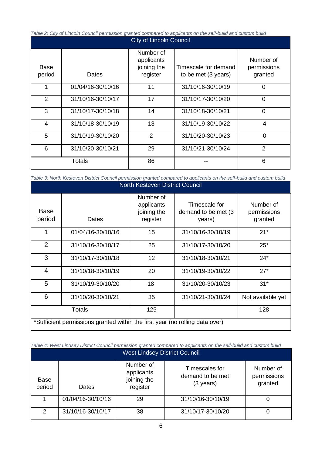*Table 2: City of Lincoln Council permission granted compared to applicants on the self-build and custom build*

| <b>City of Lincoln Council</b> |                   |                                                    |                                             |                                     |  |  |  |  |
|--------------------------------|-------------------|----------------------------------------------------|---------------------------------------------|-------------------------------------|--|--|--|--|
| Base<br>period                 | Dates             | Number of<br>applicants<br>joining the<br>register | Timescale for demand<br>to be met (3 years) | Number of<br>permissions<br>granted |  |  |  |  |
| 1                              | 01/04/16-30/10/16 | 11                                                 | 31/10/16-30/10/19                           | 0                                   |  |  |  |  |
| 2                              | 31/10/16-30/10/17 | 17                                                 | 31/10/17-30/10/20                           | $\overline{0}$                      |  |  |  |  |
| 3                              | 31/10/17-30/10/18 | 14                                                 | 31/10/18-30/10/21                           | 0                                   |  |  |  |  |
| 4                              | 31/10/18-30/10/19 | 13                                                 | 31/10/19-30/10/22                           | 4                                   |  |  |  |  |
| 5                              | 31/10/19-30/10/20 | $\overline{2}$                                     | 31/10/20-30/10/23                           | 0                                   |  |  |  |  |
| 6                              | 31/10/20-30/10/21 | 29                                                 | 31/10/21-30/10/24                           | 2                                   |  |  |  |  |
|                                | <b>Totals</b>     |                                                    |                                             | 6                                   |  |  |  |  |

*Table 3: North Kesteven District Council permission granted compared to applicants on the self-build and custom build*

| North Kesteven District Council                                              |                   |                                                    |                                                 |                                     |  |  |  |  |
|------------------------------------------------------------------------------|-------------------|----------------------------------------------------|-------------------------------------------------|-------------------------------------|--|--|--|--|
| <b>Base</b><br>period                                                        | Dates             | Number of<br>applicants<br>joining the<br>register | Timescale for<br>demand to be met (3)<br>years) | Number of<br>permissions<br>granted |  |  |  |  |
| 1                                                                            | 01/04/16-30/10/16 | 15                                                 | 31/10/16-30/10/19                               | $21*$                               |  |  |  |  |
| $\overline{2}$                                                               | 31/10/16-30/10/17 | 25                                                 | 31/10/17-30/10/20                               | $25*$                               |  |  |  |  |
| 3                                                                            | 31/10/17-30/10/18 | 12                                                 | 31/10/18-30/10/21                               | $24*$                               |  |  |  |  |
| 4                                                                            | 31/10/18-30/10/19 | 20                                                 | 31/10/19-30/10/22                               | $27*$                               |  |  |  |  |
| 5                                                                            | 31/10/19-30/10/20 | 18                                                 | 31/10/20-30/10/23                               | $31*$                               |  |  |  |  |
| 6                                                                            | 31/10/20-30/10/21 | 35                                                 | 31/10/21-30/10/24                               | Not available yet                   |  |  |  |  |
|                                                                              | <b>Totals</b>     | 125                                                |                                                 | 128                                 |  |  |  |  |
| *Sufficient permissions granted within the first year (no rolling data over) |                   |                                                    |                                                 |                                     |  |  |  |  |

*Table 4: West Lindsey District Council permission granted compared to applicants on the self-build and custom build*

| <b>West Lindsey District Council</b> |                   |                                                    |                                                           |                                     |  |  |  |  |
|--------------------------------------|-------------------|----------------------------------------------------|-----------------------------------------------------------|-------------------------------------|--|--|--|--|
| Base<br>period                       | Dates             | Number of<br>applicants<br>joining the<br>register | Timescales for<br>demand to be met<br>$(3 \text{ years})$ | Number of<br>permissions<br>granted |  |  |  |  |
|                                      | 01/04/16-30/10/16 | 29                                                 | 31/10/16-30/10/19                                         |                                     |  |  |  |  |
| 2                                    | 31/10/16-30/10/17 | 38                                                 | 31/10/17-30/10/20                                         |                                     |  |  |  |  |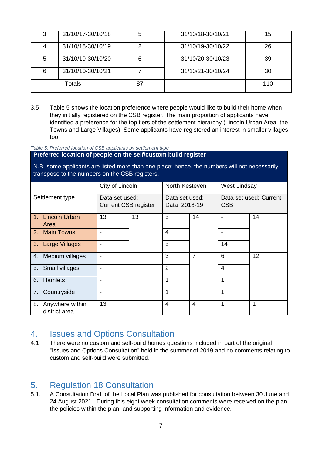| 3      | 31/10/17-30/10/18 | 31/10/18-30/10/21 | 15  |
|--------|-------------------|-------------------|-----|
|        | 31/10/18-30/10/19 | 31/10/19-30/10/22 | 26  |
| 5      | 31/10/19-30/10/20 | 31/10/20-30/10/23 | 39  |
| 6      | 31/10/10-30/10/21 | 31/10/21-30/10/24 | 30  |
| Totals |                   |                   | 110 |

3.5 Table 5 shows the location preference where people would like to build their home when they initially registered on the CSB register. The main proportion of applicants have identified a preference for the top tiers of the settlement hierarchy (Lincoln Urban Area, the Towns and Large Villages). Some applicants have registered an interest in smaller villages too.

*Table 5: Preferred location of CSB applicants by settlement type*

**Preferred location of people on the self/custom build register** 

N.B. some applicants are listed more than one place; hence, the numbers will not necessarily transpose to the numbers on the CSB registers.

|                                        | City of Lincoln                                |    | North Kesteven                  |                | West Lindsay                         |    |
|----------------------------------------|------------------------------------------------|----|---------------------------------|----------------|--------------------------------------|----|
| Settlement type                        | Data set used:-<br><b>Current CSB register</b> |    | Data set used:-<br>Data 2018-19 |                | Data set used:-Current<br><b>CSB</b> |    |
| 1. Lincoln Urban<br>Area               | 13                                             | 13 | 5                               | 14             |                                      | 14 |
| 2. Main Towns                          | ٠                                              |    | 4                               |                |                                      |    |
| 3. Large Villages                      | -                                              |    | 5                               |                | 14                                   |    |
| 4. Medium villages                     | ٠                                              |    | 3                               | 7              | 6                                    | 12 |
| 5. Small villages                      | ٠                                              |    | $\overline{2}$                  |                | $\overline{4}$                       |    |
| Hamlets<br>6.                          | $\blacksquare$                                 |    | 1                               |                | 1                                    |    |
| 7. Countryside                         | $\blacksquare$                                 |    | 1                               |                | 1                                    |    |
| 8.<br>Anywhere within<br>district area | 13                                             |    | 4                               | $\overline{4}$ | 1                                    | 1  |

### <span id="page-6-0"></span>4. Issues and Options Consultation

4.1 There were no custom and self-build homes questions included in part of the original "Issues and Options Consultation" held in the summer of 2019 and no comments relating to custom and self-build were submitted.

### <span id="page-6-1"></span>5. Regulation 18 Consultation

5.1. A Consultation Draft of the Local Plan was published for consultation between 30 June and 24 August 2021. During this eight week consultation comments were received on the plan, the policies within the plan, and supporting information and evidence.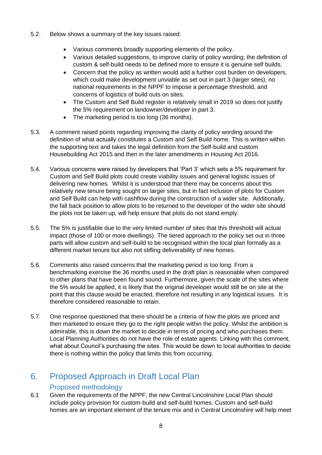- 5.2. Below shows a summary of the key issues raised:
	- Various comments broadly supporting elements of the policy.
	- Various detailed suggestions, to improve clarity of policy wording; the definition of custom & self-build needs to be defined more to ensure it is genuine self builds.
	- Concern that the policy as written would add a further cost burden on developers, which could make development unviable as set out in part 3 (larger sites), no national requirements in the NPPF to impose a percentage threshold, and concerns of logistics of build outs on sites.
	- The Custom and Self Build register is relatively small in 2019 so does not justify the 5% requirement on landowner/developer in part 3.
	- The marketing period is too long (36 months).
- 5.3. A comment raised points regarding improving the clarity of policy wording around the definition of what actually constitutes a Custom and Self Build home. This is written within the supporting text and takes the legal definition from the Self-build and custom Housebuilding Act 2015 and then in the later amendments in Housing Act 2016.
- 5.4. Various concerns were raised by developers that 'Part 3' which sets a 5% requirement for Custom and Self Build plots could create viability issues and general logistic issues of delivering new homes. Whilst it is understood that there may be concerns about this relatively new tenure being sought on larger sites, but in fact inclusion of plots for Custom and Self Build can help with cashflow during the construction of a wider site. Additionally, the fall back position to allow plots to be returned to the developer of the wider site should the plots not be taken up, will help ensure that plots do not stand empty.
- 5.5. The 5% is justifiable due to the very limited number of sites that this threshold will actual impact (those of 100 or more dwellings). The tiered approach to the policy set out in three parts will allow custom and self-build to be recognised within the local plan formally as a different market tenure but also not stifling deliverability of new homes.
- 5.6. Comments also raised concerns that the marketing period is too long. From a benchmarking exercise the 36 months used in the draft plan is reasonable when compared to other plans that have been found sound. Furthermore, given the scale of the sites where the 5% would be applied, it is likely that the original developer would still be on site at the point that this clause would be enacted, therefore not resulting in any logistical issues. It is therefore considered reasonable to retain.
- 5.7. One response questioned that there should be a criteria of how the plots are priced and then marketed to ensure they go to the right people within the policy. Whilst the ambition is admirable, this is down the market to decide in terms of pricing and who purchases them. Local Planning Authorities do not have the role of estate agents. Linking with this comment, what about Council's purchasing the sites. This would be down to local authorities to decide there is nothing within the policy that limits this from occurring.

## <span id="page-7-0"></span>6. Proposed Approach in Draft Local Plan

#### Proposed methodology

<span id="page-7-1"></span>6.1 Given the requirements of the NPPF, the new Central Lincolnshire Local Plan should include policy provision for custom-build and self-build homes. Custom and self-build homes are an important element of the tenure mix and in Central Lincolnshire will help meet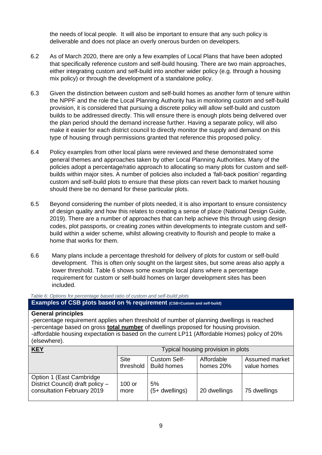the needs of local people. It will also be important to ensure that any such policy is deliverable and does not place an overly onerous burden on developers.

- 6.2 As of March 2020, there are only a few examples of Local Plans that have been adopted that specifically reference custom and self-build housing. There are two main approaches, either integrating custom and self-build into another wider policy (e.g. through a housing mix policy) or through the development of a standalone policy.
- 6.3 Given the distinction between custom and self-build homes as another form of tenure within the NPPF and the role the Local Planning Authority has in monitoring custom and self-build provision, it is considered that pursuing a discrete policy will allow self-build and custom builds to be addressed directly. This will ensure there is enough plots being delivered over the plan period should the demand increase further. Having a separate policy, will also make it easier for each district council to directly monitor the supply and demand on this type of housing through permissions granted that reference this proposed policy.
- 6.4 Policy examples from other local plans were reviewed and these demonstrated some general themes and approaches taken by other Local Planning Authorities. Many of the policies adopt a percentage/ratio approach to allocating so many plots for custom and selfbuilds within major sites. A number of policies also included a 'fall-back position' regarding custom and self-build plots to ensure that these plots can revert back to market housing should there be no demand for these particular plots.
- 6.5 Beyond considering the number of plots needed, it is also important to ensure consistency of design quality and how this relates to creating a sense of place (National Design Guide, 2019). There are a number of approaches that can help achieve this through using design codes, plot passports, or creating zones within developments to integrate custom and selfbuild within a wider scheme, whilst allowing creativity to flourish and people to make a home that works for them.
- 6.6 Many plans include a percentage threshold for delivery of plots for custom or self-build development. This is often only sought on the largest sites, but some areas also apply a lower threshold. Table 6 shows some example local plans where a percentage requirement for custom or self-build homes on larger development sites has been included.

*Table 6: Options for percentage based ratio of custom and self-build plots*

#### **Examples of CSB plots based on % requirement (CSB=Custom and self-build)**

#### **General principles**

-percentage requirement applies when threshold of number of planning dwellings is reached -percentage based on gross **total number** of dwellings proposed for housing provision. -affordable housing expectation is based on the current LP11 (Affordable Homes) policy of 20% (elsewhere).

| <b>KEY</b>                                                                                  | Typical housing provision in plots |                                    |                         |                               |  |
|---------------------------------------------------------------------------------------------|------------------------------------|------------------------------------|-------------------------|-------------------------------|--|
|                                                                                             | <b>Site</b><br>threshold           | Custom Self-<br><b>Build homes</b> | Affordable<br>homes 20% | Assumed market<br>value homes |  |
| Option 1 (East Cambridge)<br>District Council) draft policy -<br>consultation February 2019 | $100$ or<br>more                   | 5%<br>$(5+$ dwellings)             | 20 dwellings            | 75 dwellings                  |  |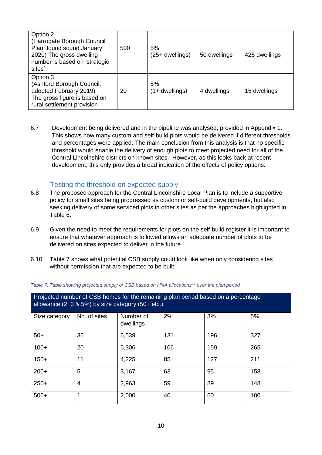| Option 2<br>(Harrogate Borough Council<br>Plan, found sound January<br>2020) The gross dwelling<br>number is based on 'strategic<br>sites' | 500 | 5%<br>(25+ dwellings)   | 50 dwellings | 425 dwellings |
|--------------------------------------------------------------------------------------------------------------------------------------------|-----|-------------------------|--------------|---------------|
| Option 3<br>(Ashford Borough Council,<br>adopted February 2019)<br>The gross figure is based on<br>rural settlement provision              | 20  | 5%<br>$(1 +$ dwellings) | 4 dwellings  | 15 dwellings  |

6.7 Development being delivered and in the pipeline was analysed, provided in Appendix 1. This shows how many custom and self-build plots would be delivered if different thresholds and percentages were applied. The main conclusion from this analysis is that no specific threshold would enable the delivery of enough plots to meet projected need for all of the Central Lincolnshire districts on known sites. However, as this looks back at recent development, this only provides a broad indication of the effects of policy options.

#### Testing the threshold on expected supply

- <span id="page-9-0"></span>6.8 The proposed approach for the Central Lincolnshire Local Plan is to include a supportive policy for small sites being progressed as custom or self-build developments, but also seeking delivery of some serviced plots in other sites as per the approaches highlighted in Table 6.
- 6.9 Given the need to meet the requirements for plots on the self-build register it is important to ensure that whatever approach is followed allows an adequate number of plots to be delivered on sites expected to deliver in the future.
- 6.10 Table 7 shows what potential CSB supply could look like when only considering sites without permission that are expected to be built.

| Projected number of CSB homes for the remaining plan period based on a percentage<br>allowance $(2, 3, 8, 5\%)$ by size category $(50 + etc.)$ |                |                        |     |     |     |  |  |
|------------------------------------------------------------------------------------------------------------------------------------------------|----------------|------------------------|-----|-----|-----|--|--|
| Size category                                                                                                                                  | No. of sites   | Number of<br>dwellings | 2%  | 3%  | 5%  |  |  |
| $50+$                                                                                                                                          | 36             | 6,539                  | 131 | 196 | 327 |  |  |
| $100+$                                                                                                                                         | 20             | 5,306                  | 106 | 159 | 265 |  |  |
| $150+$                                                                                                                                         | 11             | 4,225                  | 85  | 127 | 211 |  |  |
| $200+$                                                                                                                                         | 5              | 3,167                  | 63  | 95  | 158 |  |  |
| $250+$                                                                                                                                         | $\overline{4}$ | 2,963                  | 59  | 89  | 148 |  |  |
| $500+$                                                                                                                                         |                | 2,000                  | 40  | 60  | 100 |  |  |

*Table 7: Table showing projected supply of CSB based on HNA allocations\*\* over the plan period*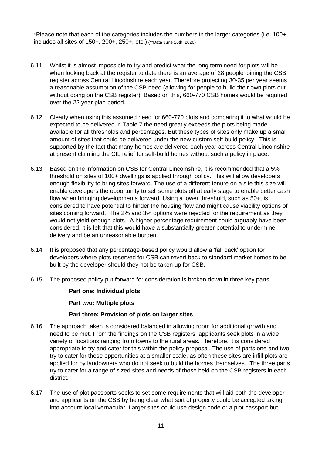\*Please note that each of the categories includes the numbers in the larger categories (i.e. 100+ includes all sites of 150+. 200+, 250+, etc.) (\*\*Data June 16th, 2020)

- 6.11 Whilst it is almost impossible to try and predict what the long term need for plots will be when looking back at the register to date there is an average of 28 people joining the CSB register across Central Lincolnshire each year. Therefore projecting 30-35 per year seems a reasonable assumption of the CSB need (allowing for people to build their own plots out without going on the CSB register). Based on this, 660-770 CSB homes would be required over the 22 year plan period.
- 6.12 Clearly when using this assumed need for 660-770 plots and comparing it to what would be expected to be delivered in Table 7 the need greatly exceeds the plots being made available for all thresholds and percentages. But these types of sites only make up a small amount of sites that could be delivered under the new custom self-build policy. This is supported by the fact that many homes are delivered each year across Central Lincolnshire at present claiming the CIL relief for self-build homes without such a policy in place.
- 6.13 Based on the information on CSB for Central Lincolnshire, it is recommended that a 5% threshold on sites of 100+ dwellings is applied through policy. This will allow developers enough flexibility to bring sites forward. The use of a different tenure on a site this size will enable developers the opportunity to sell some plots off at early stage to enable better cash flow when bringing developments forward. Using a lower threshold, such as 50+, is considered to have potential to hinder the housing flow and might cause viability options of sites coming forward. The 2% and 3% options were rejected for the requirement as they would not yield enough plots. A higher percentage requirement could arguably have been considered, it is felt that this would have a substantially greater potential to undermine delivery and be an unreasonable burden.
- 6.14 It is proposed that any percentage-based policy would allow a 'fall back' option for developers where plots reserved for CSB can revert back to standard market homes to be built by the developer should they not be taken up for CSB.
- 6.15 The proposed policy put forward for consideration is broken down in three key parts:

#### **Part one: Individual plots**

**Part two: Multiple plots** 

#### **Part three: Provision of plots on larger sites**

- 6.16 The approach taken is considered balanced in allowing room for additional growth and need to be met. From the findings on the CSB registers, applicants seek plots in a wide variety of locations ranging from towns to the rural areas. Therefore, it is considered appropriate to try and cater for this within the policy proposal. The use of parts one and two try to cater for these opportunities at a smaller scale, as often these sites are infill plots are applied for by landowners who do not seek to build the homes themselves. The three parts try to cater for a range of sized sites and needs of those held on the CSB registers in each district.
- 6.17 The use of plot passports seeks to set some requirements that will aid both the developer and applicants on the CSB by being clear what sort of property could be accepted taking into account local vernacular. Larger sites could use design code or a plot passport but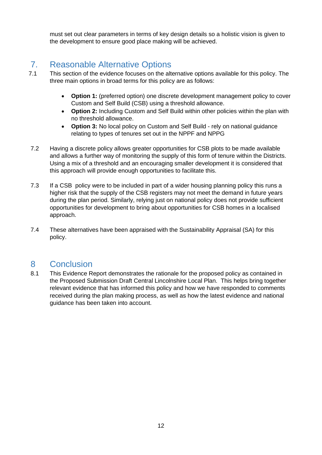must set out clear parameters in terms of key design details so a holistic vision is given to the development to ensure good place making will be achieved.

### <span id="page-11-0"></span>7. Reasonable Alternative Options

- 7.1 This section of the evidence focuses on the alternative options available for this policy. The three main options in broad terms for this policy are as follows:
	- **Option 1:** (preferred option) one discrete development management policy to cover Custom and Self Build (CSB) using a threshold allowance.
	- **Option 2:** Including Custom and Self Build within other policies within the plan with no threshold allowance.
	- **Option 3:** No local policy on Custom and Self Build rely on national guidance relating to types of tenures set out in the NPPF and NPPG
- 7.2 Having a discrete policy allows greater opportunities for CSB plots to be made available and allows a further way of monitoring the supply of this form of tenure within the Districts. Using a mix of a threshold and an encouraging smaller development it is considered that this approach will provide enough opportunities to facilitate this.
- 7.3 If a CSB policy were to be included in part of a wider housing planning policy this runs a higher risk that the supply of the CSB registers may not meet the demand in future years during the plan period. Similarly, relying just on national policy does not provide sufficient opportunities for development to bring about opportunities for CSB homes in a localised approach.
- 7.4 These alternatives have been appraised with the Sustainability Appraisal (SA) for this policy.

### <span id="page-11-1"></span>8 Conclusion

8.1 This Evidence Report demonstrates the rationale for the proposed policy as contained in the Proposed Submission Draft Central Lincolnshire Local Plan. This helps bring together relevant evidence that has informed this policy and how we have responded to comments received during the plan making process, as well as how the latest evidence and national guidance has been taken into account.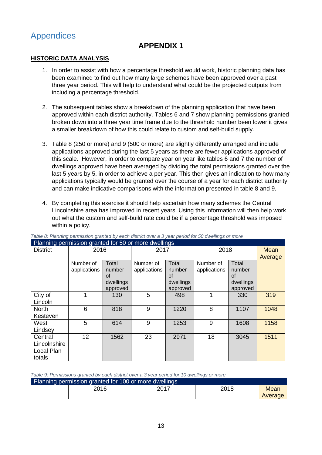### <span id="page-12-0"></span>Appendices

### **APPENDIX 1**

#### **HISTORIC DATA ANALYSIS**

- 1. In order to assist with how a percentage threshold would work, historic planning data has been examined to find out how many large schemes have been approved over a past three year period. This will help to understand what could be the projected outputs from including a percentage threshold.
- 2. The subsequent tables show a breakdown of the planning application that have been approved within each district authority. Tables 6 and 7 show planning permissions granted broken down into a three year time frame due to the threshold number been lower it gives a smaller breakdown of how this could relate to custom and self-build supply.
- 3. Table 8 (250 or more) and 9 (500 or more) are slightly differently arranged and include applications approved during the last 5 years as there are fewer applications approved of this scale. However, in order to compare year on year like tables 6 and 7 the number of dwellings approved have been averaged by dividing the total permissions granted over the last 5 years by 5, in order to achieve a per year. This then gives an indication to how many applications typically would be granted over the course of a year for each district authority and can make indicative comparisons with the information presented in table 8 and 9.
- 4. By completing this exercise it should help ascertain how many schemes the Central Lincolnshire area has improved in recent years. Using this information will then help work out what the custom and self-build rate could be if a percentage threshold was imposed within a policy.

| Planning permission granted for 50 or more dwellings |                 |           |              |           |              |           |         |
|------------------------------------------------------|-----------------|-----------|--------------|-----------|--------------|-----------|---------|
| <b>District</b>                                      | 2016            |           |              | 2017      |              | 2018      |         |
|                                                      |                 |           |              |           |              |           | Average |
|                                                      | Number of       | Total     | Number of    | Total     | Number of    | Total     |         |
|                                                      | applications    | number    | applications | number    | applications | number    |         |
|                                                      |                 | of        |              | <b>of</b> |              | of        |         |
|                                                      |                 | dwellings |              | dwellings |              | dwellings |         |
|                                                      |                 | approved  |              | approved  |              | approved  |         |
| City of                                              |                 | 130       | 5            | 498       |              | 330       | 319     |
| Lincoln                                              |                 |           |              |           |              |           |         |
| <b>North</b>                                         | 6               | 818       | 9            | 1220      | 8            | 1107      | 1048    |
| Kesteven                                             |                 |           |              |           |              |           |         |
| West                                                 | 5               | 614       | 9            | 1253      | 9            | 1608      | 1158    |
| Lindsey                                              |                 |           |              |           |              |           |         |
| Central                                              | 12 <sup>2</sup> | 1562      | 23           | 2971      | 18           | 3045      | 1511    |
| Lincolnshire                                         |                 |           |              |           |              |           |         |
| Local Plan                                           |                 |           |              |           |              |           |         |
| totals                                               |                 |           |              |           |              |           |         |

*Table 8: Planning permission granted by each district over a 3 year period for 50 dwellings or more*

*Table 9: Permissions granted by each district over a 3 year period for 10 dwellings or more*

| Planning permission granted for 100 or more dwellings |      |      |      |         |  |  |  |  |
|-------------------------------------------------------|------|------|------|---------|--|--|--|--|
|                                                       | 2016 | 2017 | 2018 | Mean    |  |  |  |  |
|                                                       |      |      |      | Average |  |  |  |  |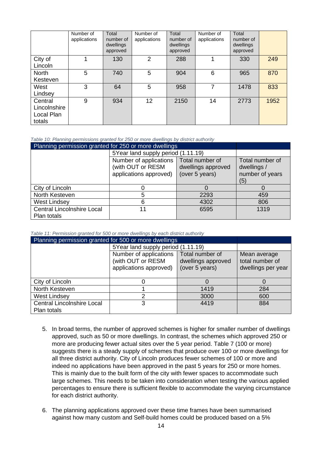|                                                 | Number of<br>applications | Total<br>number of<br>dwellings<br>approved | Number of<br>applications | Total<br>number of<br>dwellings<br>approved | Number of<br>applications | Total<br>number of<br>dwellings<br>approved |      |
|-------------------------------------------------|---------------------------|---------------------------------------------|---------------------------|---------------------------------------------|---------------------------|---------------------------------------------|------|
| City of<br>Lincoln                              |                           | 130                                         | $\overline{2}$            | 288                                         |                           | 330                                         | 249  |
| <b>North</b><br>Kesteven                        | 5                         | 740                                         | 5                         | 904                                         | 6                         | 965                                         | 870  |
| West<br>Lindsey                                 | 3                         | 64                                          | 5                         | 958                                         | 7                         | 1478                                        | 833  |
| Central<br>Lincolnshire<br>Local Plan<br>totals | 9                         | 934                                         | 12                        | 2150                                        | 14                        | 2773                                        | 1952 |

*Table 10: Planning permissions granted for 250 or more dwellings by district authority*

| Planning permission granted for 250 or more dwellings |                                               |                                |      |  |  |  |
|-------------------------------------------------------|-----------------------------------------------|--------------------------------|------|--|--|--|
|                                                       | 5Year land supply period (1.11.19)            |                                |      |  |  |  |
|                                                       | Number of applications  <br>(with OUT or RESM | Total number of<br>dwellings / |      |  |  |  |
|                                                       | number of years<br>(5)                        |                                |      |  |  |  |
| City of Lincoln                                       | 0                                             |                                |      |  |  |  |
| North Kesteven                                        | 5                                             | 2293                           | 459  |  |  |  |
| <b>West Lindsey</b>                                   | 806                                           |                                |      |  |  |  |
| <b>Central Lincolnshire Local</b><br>Plan totals      | 11                                            | 6595                           | 1319 |  |  |  |

*Table 11: Permission granted for 500 or more dwellings by each district authority*

| Planning permission granted for 500 or more dwellings |                                                                       |                                                       |     |
|-------------------------------------------------------|-----------------------------------------------------------------------|-------------------------------------------------------|-----|
|                                                       | 5Year land supply period (1.11.19)                                    |                                                       |     |
|                                                       | Number of applications<br>(with OUT or RESM<br>applications approved) | Mean average<br>total number of<br>dwellings per year |     |
| City of Lincoln                                       |                                                                       |                                                       |     |
| North Kesteven                                        |                                                                       | 1419                                                  | 284 |
| <b>West Lindsey</b>                                   | 600                                                                   |                                                       |     |
| <b>Central Lincolnshire Local</b><br>Plan totals      | 3                                                                     | 4419                                                  | 884 |

- 5. In broad terms, the number of approved schemes is higher for smaller number of dwellings approved, such as 50 or more dwellings. In contrast, the schemes which approved 250 or more are producing fewer actual sites over the 5 year period. Table 7 (100 or more) suggests there is a steady supply of schemes that produce over 100 or more dwellings for all three district authority. City of Lincoln produces fewer schemes of 100 or more and indeed no applications have been approved in the past 5 years for 250 or more homes. This is mainly due to the built form of the city with fewer spaces to accommodate such large schemes. This needs to be taken into consideration when testing the various applied percentages to ensure there is sufficient flexible to accommodate the varying circumstance for each district authority.
- 6. The planning applications approved over these time frames have been summarised against how many custom and Self-build homes could be produced based on a 5%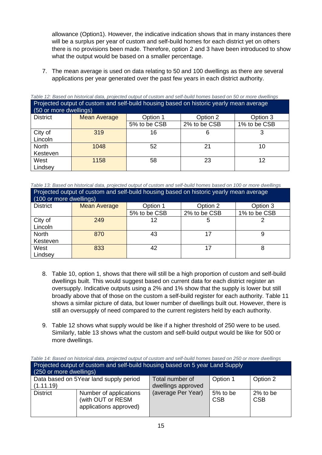allowance (Option1). However, the indicative indication shows that in many instances there will be a surplus per year of custom and self-build homes for each district yet on others there is no provisions been made. Therefore, option 2 and 3 have been introduced to show what the output would be based on a smaller percentage.

7. The mean average is used on data relating to 50 and 100 dwellings as there are several applications per year generated over the past few years in each district authority.

| Projected output of custom and self-build nousing based on historic yearly mean average<br>(50 or more dwellings) |                     |              |              |              |  |  |  |  |
|-------------------------------------------------------------------------------------------------------------------|---------------------|--------------|--------------|--------------|--|--|--|--|
| <b>District</b>                                                                                                   | <b>Mean Average</b> | Option 1     | Option 2     | Option 3     |  |  |  |  |
|                                                                                                                   |                     | 5% to be CSB | 2% to be CSB | 1% to be CSB |  |  |  |  |
| City of<br>Lincoln                                                                                                | 319                 | 16           | 6            |              |  |  |  |  |
| North<br>Kesteven                                                                                                 | 1048                | 52           | 21           | 10           |  |  |  |  |
| West<br>Lindsey                                                                                                   | 1158                | 58           | 23           | 12           |  |  |  |  |

*Table 12: Based on historical data, projected output of custom and self-build homes based on 50 or more dwellings* Projected output of custom and self-build housing based on historic yearly mean average

*Table 13: Based on historical data, projected output of custom and self-build homes based on 100 or more dwellings* Projected output of custom and self-build housing based on historic yearly mean average

| (100 or more dwellings) |                     |              |              |              |  |  |  |  |
|-------------------------|---------------------|--------------|--------------|--------------|--|--|--|--|
| <b>District</b>         | <b>Mean Average</b> | Option 1     | Option 2     | Option 3     |  |  |  |  |
|                         |                     | 5% to be CSB | 2% to be CSB | 1% to be CSB |  |  |  |  |
| City of                 | 249                 | 12           | 5            |              |  |  |  |  |
| Lincoln                 |                     |              |              |              |  |  |  |  |
| <b>North</b>            | 870                 | 43           |              |              |  |  |  |  |
| Kesteven                |                     |              |              |              |  |  |  |  |
| West                    | 833                 | 42           |              |              |  |  |  |  |
| Lindsey                 |                     |              |              |              |  |  |  |  |

- 8. Table 10, option 1, shows that there will still be a high proportion of custom and self-build dwellings built. This would suggest based on current data for each district register an oversupply. Indicative outputs using a 2% and 1% show that the supply is lower but still broadly above that of those on the custom a self-build register for each authority. Table 11 shows a similar picture of data, but lower number of dwellings built out. However, there is still an oversupply of need compared to the current registers held by each authority.
- 9. Table 12 shows what supply would be like if a higher threshold of 250 were to be used. Similarly, table 13 shows what the custom and self-build output would be like for 500 or more dwellings.

| Table 14: Based on historical data, projected output of custom and self-build homes based on 250 or more dwellings |                                                                                   |                    |                        |                        |  |  |  |  |
|--------------------------------------------------------------------------------------------------------------------|-----------------------------------------------------------------------------------|--------------------|------------------------|------------------------|--|--|--|--|
| Projected output of custom and self-build housing based on 5 year Land Supply                                      |                                                                                   |                    |                        |                        |  |  |  |  |
| (250 or more dwellings)                                                                                            |                                                                                   |                    |                        |                        |  |  |  |  |
|                                                                                                                    | Data based on 5Year land supply period<br>Option 1<br>Option 2<br>Total number of |                    |                        |                        |  |  |  |  |
| (1.11.19)                                                                                                          |                                                                                   | dwellings approved |                        |                        |  |  |  |  |
| <b>District</b>                                                                                                    | Number of applications<br>(with OUT or RESM<br>applications approved)             | (average Per Year) | 5% to be<br><b>CSB</b> | 2% to be<br><b>CSB</b> |  |  |  |  |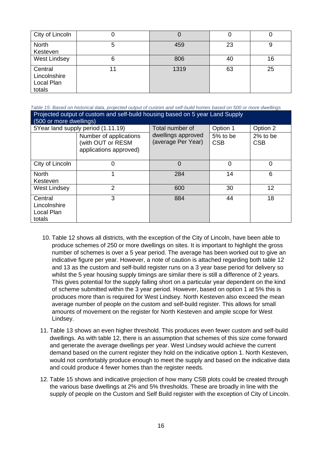| City of Lincoln                                 |   |      |    |    |
|-------------------------------------------------|---|------|----|----|
| North<br>Kesteven                               | 5 | 459  | 23 | 9  |
| <b>West Lindsey</b>                             | 6 | 806  | 40 | 16 |
| Central<br>Lincolnshire<br>Local Plan<br>totals |   | 1319 | 63 | 25 |

*Table 15: Based on historical data, projected output of custom and self-build homes based on 500 or more dwellings* Projected output of custom and self-build housing based on 5 year Land Supply (500 or more dwellings)

| <u>(JUV OF ITIOLE UWEIIIIIYS)</u>               |                                                                       |                                          |                        |                        |
|-------------------------------------------------|-----------------------------------------------------------------------|------------------------------------------|------------------------|------------------------|
|                                                 | 5Year land supply period (1.11.19)                                    | Total number of                          | Option 1               | Option 2               |
|                                                 | Number of applications<br>(with OUT or RESM<br>applications approved) | dwellings approved<br>(average Per Year) | 5% to be<br><b>CSB</b> | 2% to be<br><b>CSB</b> |
| City of Lincoln                                 | 0                                                                     | 0                                        | 0                      | 0                      |
| <b>North</b><br>Kesteven                        |                                                                       | 284                                      | 14                     | 6                      |
| <b>West Lindsey</b>                             | 2                                                                     | 600                                      | 30                     | 12                     |
| Central<br>Lincolnshire<br>Local Plan<br>totals | 3                                                                     | 884                                      | 44                     | 18                     |

- 10. Table 12 shows all districts, with the exception of the City of Lincoln, have been able to produce schemes of 250 or more dwellings on sites. It is important to highlight the gross number of schemes is over a 5 year period. The average has been worked out to give an indicative figure per year. However, a note of caution is attached regarding both table 12 and 13 as the custom and self-build register runs on a 3 year base period for delivery so whilst the 5 year housing supply timings are similar there is still a difference of 2 years. This gives potential for the supply falling short on a particular year dependent on the kind of scheme submitted within the 3 year period. However, based on option 1 at 5% this is produces more than is required for West Lindsey. North Kesteven also exceed the mean average number of people on the custom and self-build register. This allows for small amounts of movement on the register for North Kesteven and ample scope for West Lindsey.
- 11. Table 13 shows an even higher threshold. This produces even fewer custom and self-build dwellings. As with table 12, there is an assumption that schemes of this size come forward and generate the average dwellings per year. West Lindsey would achieve the current demand based on the current register they hold on the indicative option 1. North Kesteven, would not comfortably produce enough to meet the supply and based on the indicative data and could produce 4 fewer homes than the register needs.
- 12. Table 15 shows and indicative projection of how many CSB plots could be created through the various base dwellings at 2% and 5% thresholds. These are broadly in line with the supply of people on the Custom and Self Build register with the exception of City of Lincoln.